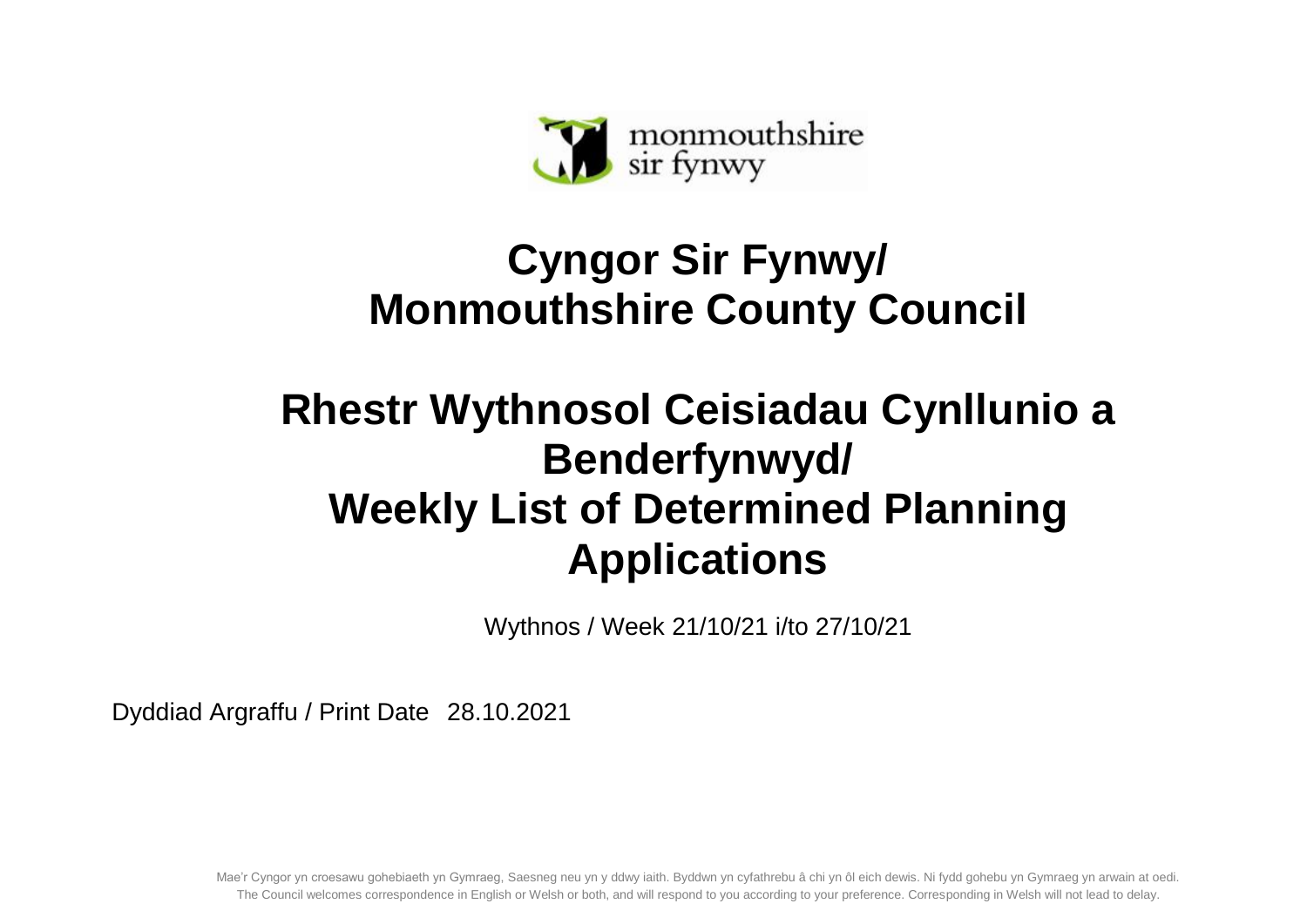

## **Cyngor Sir Fynwy/ Monmouthshire County Council**

## **Rhestr Wythnosol Ceisiadau Cynllunio a Benderfynwyd/ Weekly List of Determined Planning Applications**

Wythnos / Week 21/10/21 i/to 27/10/21

Dyddiad Argraffu / Print Date 28.10.2021

Mae'r Cyngor yn croesawu gohebiaeth yn Gymraeg, Saesneg neu yn y ddwy iaith. Byddwn yn cyfathrebu â chi yn ôl eich dewis. Ni fydd gohebu yn Gymraeg yn arwain at oedi. The Council welcomes correspondence in English or Welsh or both, and will respond to you according to your preference. Corresponding in Welsh will not lead to delay.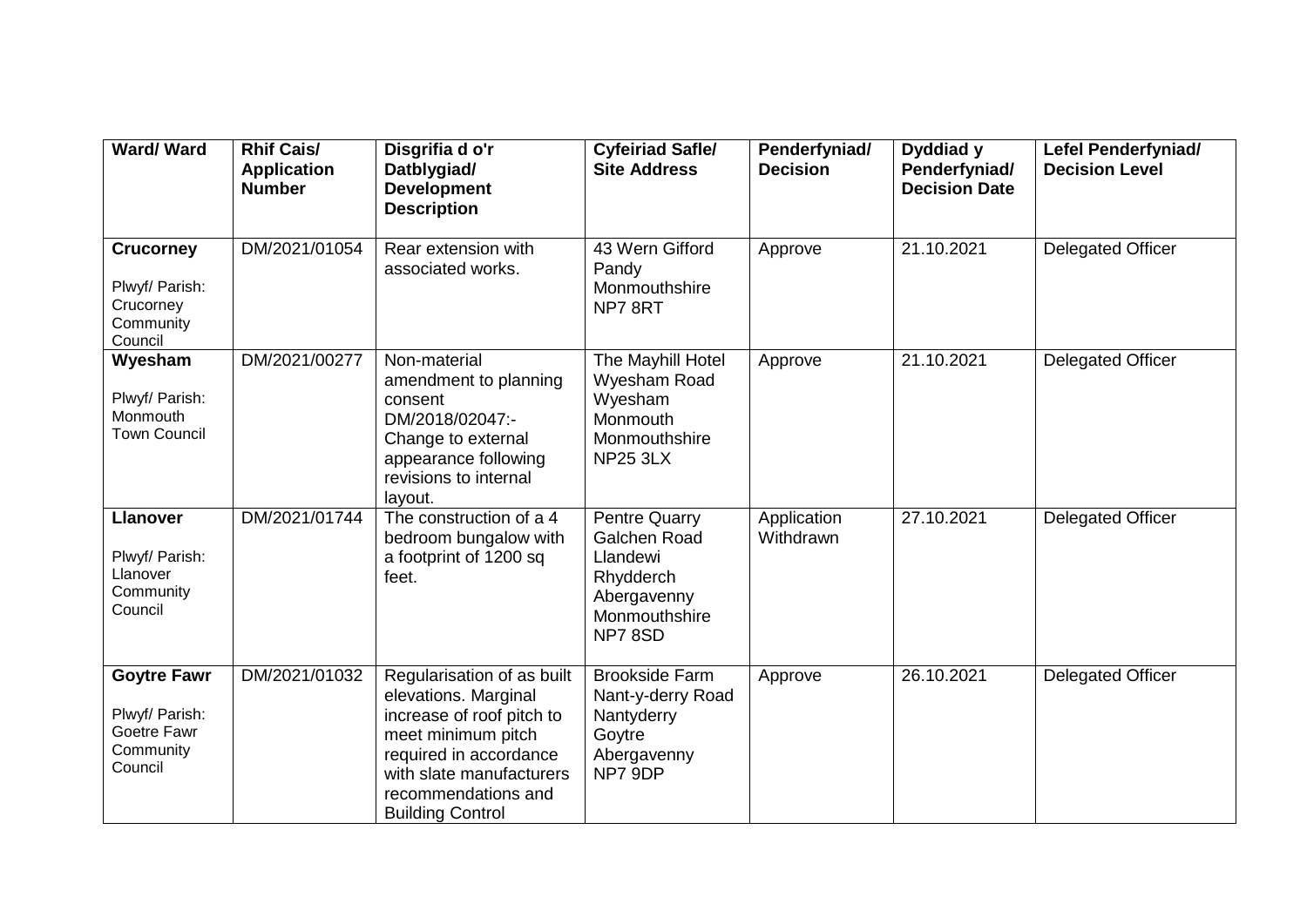| Ward/Ward                                                                   | <b>Rhif Cais/</b><br><b>Application</b><br><b>Number</b> | Disgrifia d o'r<br>Datblygiad/<br><b>Development</b><br><b>Description</b>                                                                                                                                    | <b>Cyfeiriad Safle/</b><br><b>Site Address</b>                                                   | Penderfyniad/<br><b>Decision</b> | Dyddiad y<br>Penderfyniad/<br><b>Decision Date</b> | Lefel Penderfyniad/<br><b>Decision Level</b> |
|-----------------------------------------------------------------------------|----------------------------------------------------------|---------------------------------------------------------------------------------------------------------------------------------------------------------------------------------------------------------------|--------------------------------------------------------------------------------------------------|----------------------------------|----------------------------------------------------|----------------------------------------------|
| <b>Crucorney</b><br>Plwyf/ Parish:<br>Crucorney<br>Community<br>Council     | DM/2021/01054                                            | Rear extension with<br>associated works.                                                                                                                                                                      | 43 Wern Gifford<br>Pandy<br>Monmouthshire<br>NP78RT                                              | Approve                          | 21.10.2021                                         | Delegated Officer                            |
| Wyesham<br>Plwyf/ Parish:<br>Monmouth<br><b>Town Council</b>                | DM/2021/00277                                            | Non-material<br>amendment to planning<br>consent<br>DM/2018/02047:-<br>Change to external<br>appearance following<br>revisions to internal<br>layout.                                                         | The Mayhill Hotel<br>Wyesham Road<br>Wyesham<br>Monmouth<br>Monmouthshire<br><b>NP25 3LX</b>     | Approve                          | 21.10.2021                                         | Delegated Officer                            |
| <b>Llanover</b><br>Plwyf/ Parish:<br>Llanover<br>Community<br>Council       | DM/2021/01744                                            | The construction of a 4<br>bedroom bungalow with<br>a footprint of 1200 sq<br>feet.                                                                                                                           | Pentre Quarry<br>Galchen Road<br>Llandewi<br>Rhydderch<br>Abergavenny<br>Monmouthshire<br>NP78SD | Application<br>Withdrawn         | 27.10.2021                                         | <b>Delegated Officer</b>                     |
| <b>Goytre Fawr</b><br>Plwyf/ Parish:<br>Goetre Fawr<br>Community<br>Council | DM/2021/01032                                            | Regularisation of as built<br>elevations. Marginal<br>increase of roof pitch to<br>meet minimum pitch<br>required in accordance<br>with slate manufacturers<br>recommendations and<br><b>Building Control</b> | <b>Brookside Farm</b><br>Nant-y-derry Road<br>Nantyderry<br>Goytre<br>Abergavenny<br>NP7 9DP     | Approve                          | 26.10.2021                                         | <b>Delegated Officer</b>                     |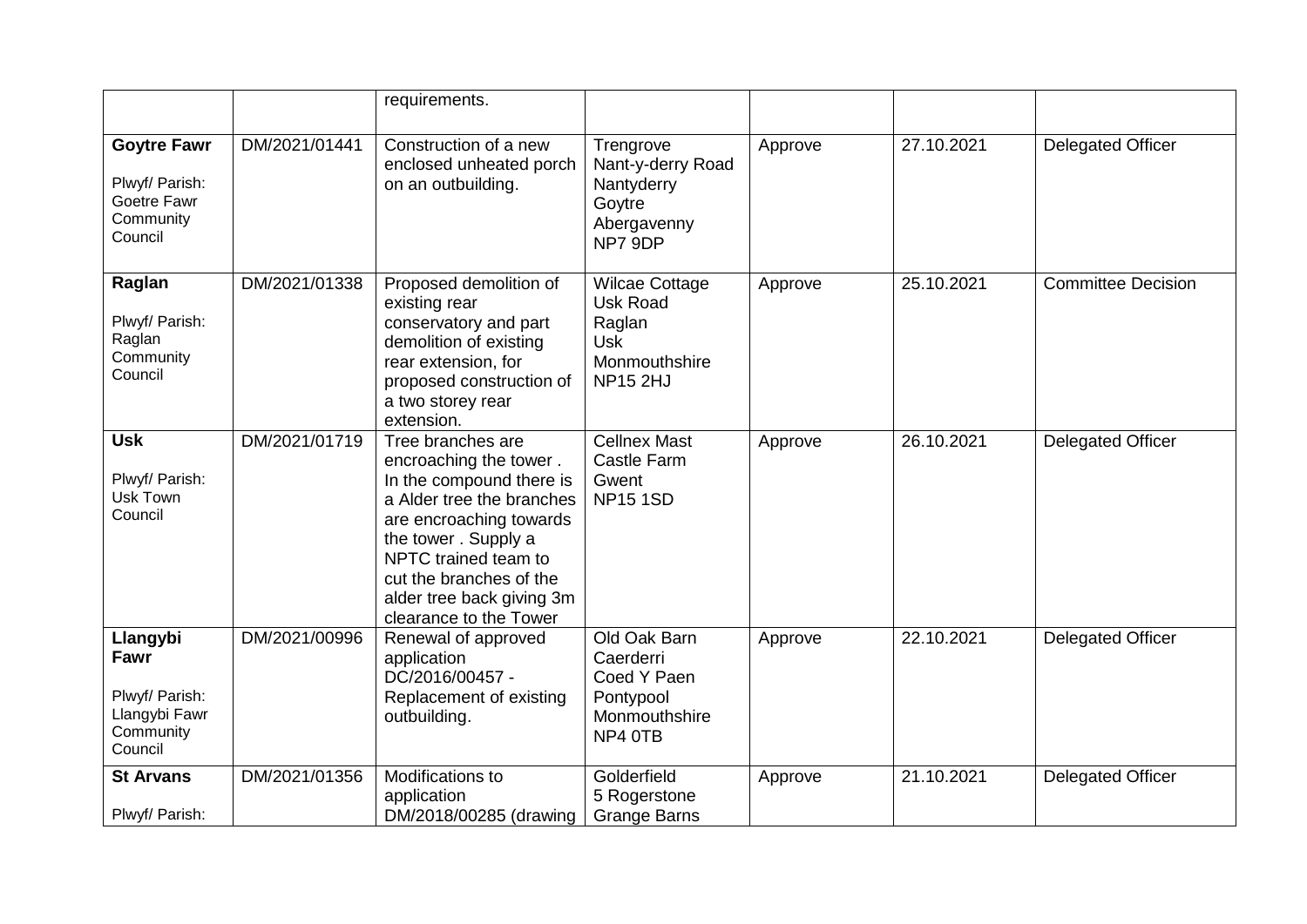|                                                                             |               | requirements.                                                                                                                                                                                                                                                    |                                                                                                      |         |            |                           |
|-----------------------------------------------------------------------------|---------------|------------------------------------------------------------------------------------------------------------------------------------------------------------------------------------------------------------------------------------------------------------------|------------------------------------------------------------------------------------------------------|---------|------------|---------------------------|
| <b>Goytre Fawr</b><br>Plwyf/ Parish:<br>Goetre Fawr<br>Community<br>Council | DM/2021/01441 | Construction of a new<br>enclosed unheated porch<br>on an outbuilding.                                                                                                                                                                                           | Trengrove<br>Nant-y-derry Road<br>Nantyderry<br>Goytre<br>Abergavenny<br>NP7 9DP                     | Approve | 27.10.2021 | <b>Delegated Officer</b>  |
| Raglan<br>Plwyf/ Parish:<br>Raglan<br>Community<br>Council                  | DM/2021/01338 | Proposed demolition of<br>existing rear<br>conservatory and part<br>demolition of existing<br>rear extension, for<br>proposed construction of<br>a two storey rear<br>extension.                                                                                 | <b>Wilcae Cottage</b><br><b>Usk Road</b><br>Raglan<br><b>Usk</b><br>Monmouthshire<br><b>NP15 2HJ</b> | Approve | 25.10.2021 | <b>Committee Decision</b> |
| Usk <sup>-</sup><br>Plwyf/ Parish:<br>Usk Town<br>Council                   | DM/2021/01719 | Tree branches are<br>encroaching the tower.<br>In the compound there is<br>a Alder tree the branches<br>are encroaching towards<br>the tower. Supply a<br>NPTC trained team to<br>cut the branches of the<br>alder tree back giving 3m<br>clearance to the Tower | <b>Cellnex Mast</b><br><b>Castle Farm</b><br>Gwent<br><b>NP15 1SD</b>                                | Approve | 26.10.2021 | <b>Delegated Officer</b>  |
| Llangybi<br>Fawr<br>Plwyf/ Parish:<br>Llangybi Fawr<br>Community<br>Council | DM/2021/00996 | Renewal of approved<br>application<br>DC/2016/00457 -<br>Replacement of existing<br>outbuilding.                                                                                                                                                                 | Old Oak Barn<br>Caerderri<br>Coed Y Paen<br>Pontypool<br>Monmouthshire<br>NP4 OTB                    | Approve | 22.10.2021 | <b>Delegated Officer</b>  |
| <b>St Arvans</b><br>Plwyf/ Parish:                                          | DM/2021/01356 | Modifications to<br>application<br>DM/2018/00285 (drawing                                                                                                                                                                                                        | Golderfield<br>5 Rogerstone<br><b>Grange Barns</b>                                                   | Approve | 21.10.2021 | <b>Delegated Officer</b>  |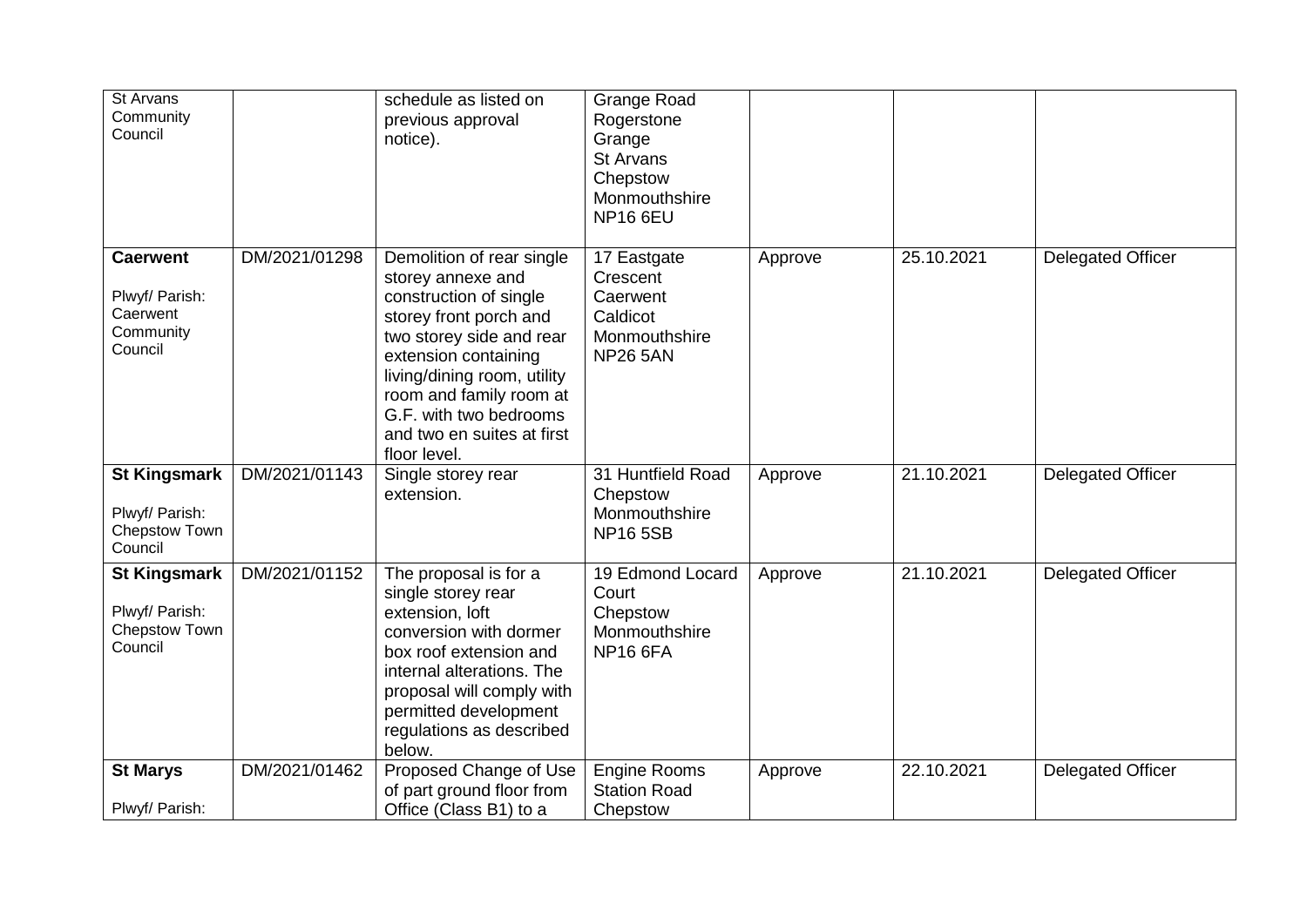| St Arvans<br>Community<br>Council                                     |               | schedule as listed on<br>previous approval<br>notice).                                                                                                                                                                                                                                   | <b>Grange Road</b><br>Rogerstone<br>Grange<br>St Arvans<br>Chepstow<br>Monmouthshire<br><b>NP16 6EU</b> |         |            |                          |
|-----------------------------------------------------------------------|---------------|------------------------------------------------------------------------------------------------------------------------------------------------------------------------------------------------------------------------------------------------------------------------------------------|---------------------------------------------------------------------------------------------------------|---------|------------|--------------------------|
| <b>Caerwent</b><br>Plwyf/ Parish:<br>Caerwent<br>Community<br>Council | DM/2021/01298 | Demolition of rear single<br>storey annexe and<br>construction of single<br>storey front porch and<br>two storey side and rear<br>extension containing<br>living/dining room, utility<br>room and family room at<br>G.F. with two bedrooms<br>and two en suites at first<br>floor level. | 17 Eastgate<br>Crescent<br>Caerwent<br>Caldicot<br>Monmouthshire<br><b>NP26 5AN</b>                     | Approve | 25.10.2021 | <b>Delegated Officer</b> |
| <b>St Kingsmark</b><br>Plwyf/ Parish:<br>Chepstow Town<br>Council     | DM/2021/01143 | Single storey rear<br>extension.                                                                                                                                                                                                                                                         | 31 Huntfield Road<br>Chepstow<br>Monmouthshire<br><b>NP165SB</b>                                        | Approve | 21.10.2021 | <b>Delegated Officer</b> |
| <b>St Kingsmark</b><br>Plwyf/ Parish:<br>Chepstow Town<br>Council     | DM/2021/01152 | The proposal is for a<br>single storey rear<br>extension, loft<br>conversion with dormer<br>box roof extension and<br>internal alterations. The<br>proposal will comply with<br>permitted development<br>regulations as described<br>below.                                              | 19 Edmond Locard<br>Court<br>Chepstow<br>Monmouthshire<br><b>NP16 6FA</b>                               | Approve | 21.10.2021 | <b>Delegated Officer</b> |
| <b>St Marys</b><br>Plwyf/ Parish:                                     | DM/2021/01462 | Proposed Change of Use<br>of part ground floor from<br>Office (Class B1) to a                                                                                                                                                                                                            | <b>Engine Rooms</b><br><b>Station Road</b><br>Chepstow                                                  | Approve | 22.10.2021 | <b>Delegated Officer</b> |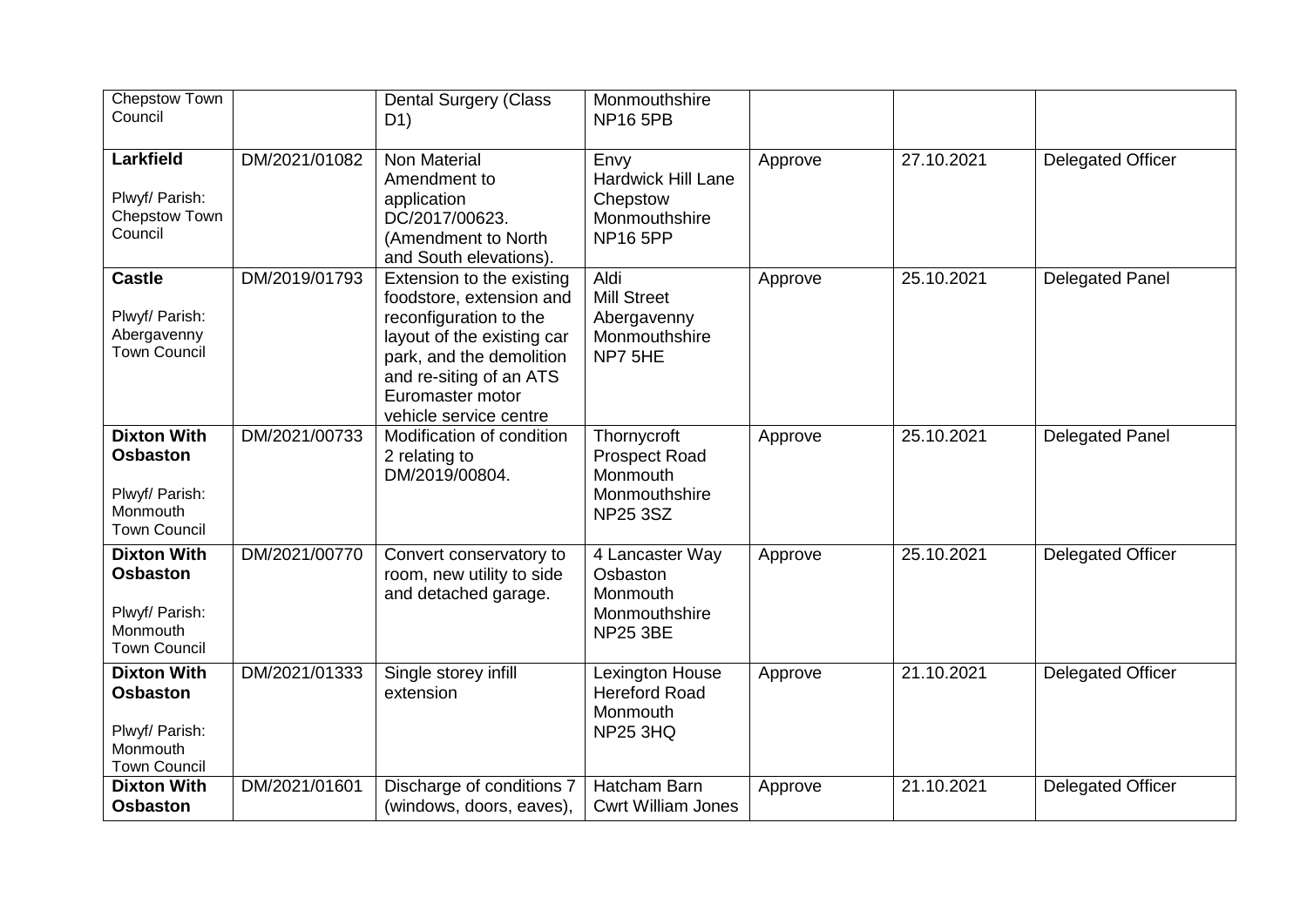| Chepstow Town<br>Council                                                                   |               | <b>Dental Surgery (Class</b><br>D <sub>1</sub>                                                                                                                                                                     | Monmouthshire<br><b>NP16 5PB</b>                                                    |         |            |                          |
|--------------------------------------------------------------------------------------------|---------------|--------------------------------------------------------------------------------------------------------------------------------------------------------------------------------------------------------------------|-------------------------------------------------------------------------------------|---------|------------|--------------------------|
| <b>Larkfield</b><br>Plwyf/ Parish:<br>Chepstow Town<br>Council                             | DM/2021/01082 | <b>Non Material</b><br>Amendment to<br>application<br>DC/2017/00623.<br>(Amendment to North<br>and South elevations).                                                                                              | Envy<br><b>Hardwick Hill Lane</b><br>Chepstow<br>Monmouthshire<br><b>NP16 5PP</b>   | Approve | 27.10.2021 | <b>Delegated Officer</b> |
| <b>Castle</b><br>Plwyf/ Parish:<br>Abergavenny<br><b>Town Council</b>                      | DM/2019/01793 | Extension to the existing<br>foodstore, extension and<br>reconfiguration to the<br>layout of the existing car<br>park, and the demolition<br>and re-siting of an ATS<br>Euromaster motor<br>vehicle service centre | Aldi<br><b>Mill Street</b><br>Abergavenny<br>Monmouthshire<br>NP7 5HE               | Approve | 25.10.2021 | <b>Delegated Panel</b>   |
| <b>Dixton With</b><br><b>Osbaston</b><br>Plwyf/ Parish:<br>Monmouth<br><b>Town Council</b> | DM/2021/00733 | Modification of condition<br>2 relating to<br>DM/2019/00804.                                                                                                                                                       | Thornycroft<br><b>Prospect Road</b><br>Monmouth<br>Monmouthshire<br><b>NP25 3SZ</b> | Approve | 25.10.2021 | <b>Delegated Panel</b>   |
| <b>Dixton With</b><br><b>Osbaston</b><br>Plwyf/ Parish:<br>Monmouth<br><b>Town Council</b> | DM/2021/00770 | Convert conservatory to<br>room, new utility to side<br>and detached garage.                                                                                                                                       | 4 Lancaster Way<br>Osbaston<br>Monmouth<br>Monmouthshire<br><b>NP25 3BE</b>         | Approve | 25.10.2021 | <b>Delegated Officer</b> |
| <b>Dixton With</b><br><b>Osbaston</b><br>Plwyf/ Parish:<br>Monmouth<br><b>Town Council</b> | DM/2021/01333 | Single storey infill<br>extension                                                                                                                                                                                  | Lexington House<br><b>Hereford Road</b><br>Monmouth<br><b>NP25 3HQ</b>              | Approve | 21.10.2021 | <b>Delegated Officer</b> |
| <b>Dixton With</b><br><b>Osbaston</b>                                                      | DM/2021/01601 | Discharge of conditions 7<br>(windows, doors, eaves),                                                                                                                                                              | Hatcham Barn<br><b>Cwrt William Jones</b>                                           | Approve | 21.10.2021 | <b>Delegated Officer</b> |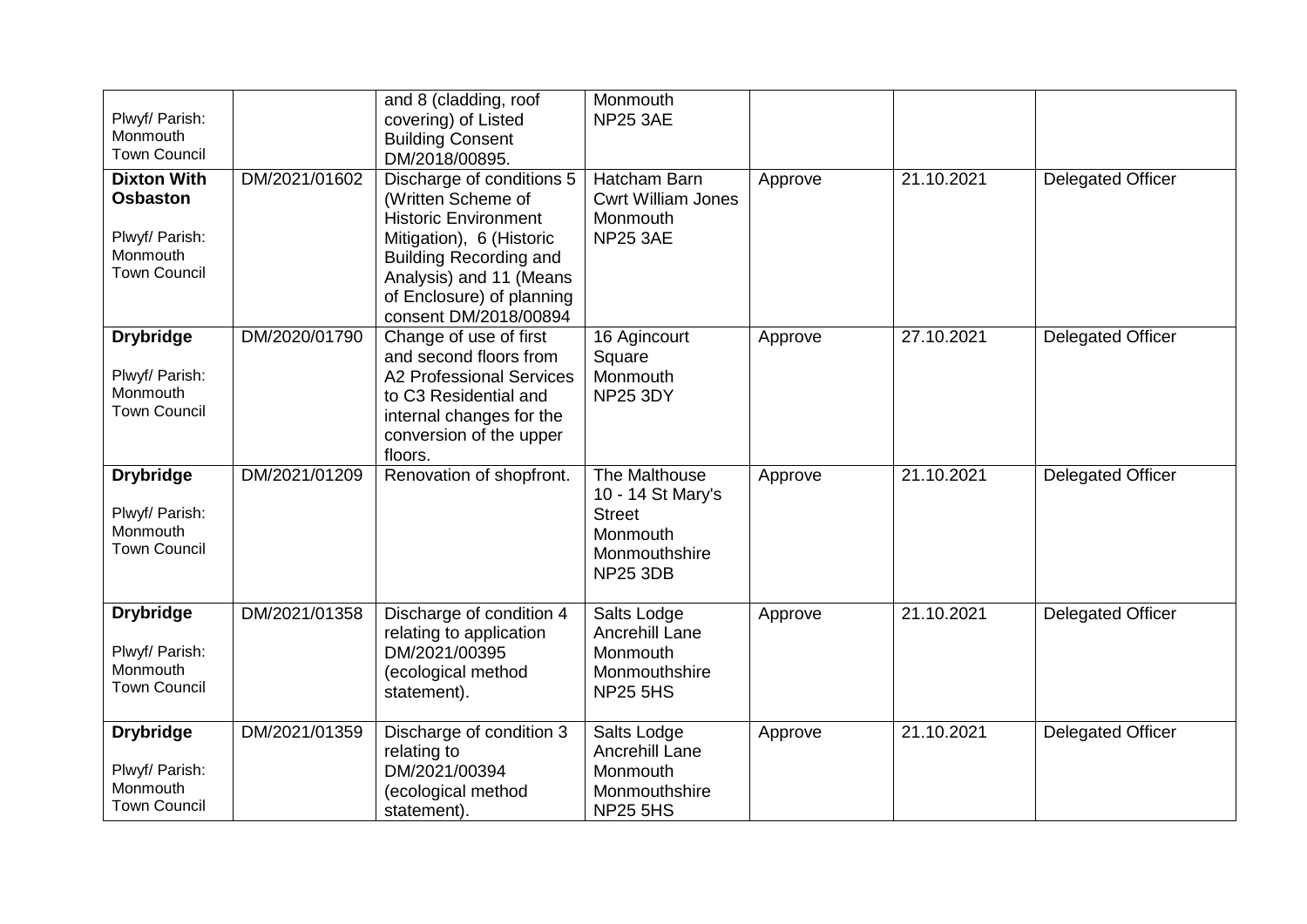| Plwyf/ Parish:<br>Monmouth<br><b>Town Council</b>                                          |               | and 8 (cladding, roof<br>covering) of Listed<br><b>Building Consent</b><br>DM/2018/00895.                                                                                                                                    | Monmouth<br><b>NP25 3AE</b>                                                                         |         |            |                          |
|--------------------------------------------------------------------------------------------|---------------|------------------------------------------------------------------------------------------------------------------------------------------------------------------------------------------------------------------------------|-----------------------------------------------------------------------------------------------------|---------|------------|--------------------------|
| <b>Dixton With</b><br><b>Osbaston</b><br>Plwyf/ Parish:<br>Monmouth<br><b>Town Council</b> | DM/2021/01602 | Discharge of conditions 5<br>(Written Scheme of<br><b>Historic Environment</b><br>Mitigation), 6 (Historic<br><b>Building Recording and</b><br>Analysis) and 11 (Means<br>of Enclosure) of planning<br>consent DM/2018/00894 | Hatcham Barn<br><b>Cwrt William Jones</b><br>Monmouth<br><b>NP25 3AE</b>                            | Approve | 21.10.2021 | <b>Delegated Officer</b> |
| <b>Drybridge</b><br>Plwyf/ Parish:<br>Monmouth<br><b>Town Council</b>                      | DM/2020/01790 | Change of use of first<br>and second floors from<br><b>A2 Professional Services</b><br>to C3 Residential and<br>internal changes for the<br>conversion of the upper<br>floors.                                               | 16 Agincourt<br>Square<br>Monmouth<br><b>NP25 3DY</b>                                               | Approve | 27.10.2021 | <b>Delegated Officer</b> |
| <b>Drybridge</b><br>Plwyf/ Parish:<br>Monmouth<br><b>Town Council</b>                      | DM/2021/01209 | Renovation of shopfront.                                                                                                                                                                                                     | The Malthouse<br>10 - 14 St Mary's<br><b>Street</b><br>Monmouth<br>Monmouthshire<br><b>NP25 3DB</b> | Approve | 21.10.2021 | <b>Delegated Officer</b> |
| <b>Drybridge</b><br>Plwyf/ Parish:<br>Monmouth<br><b>Town Council</b>                      | DM/2021/01358 | Discharge of condition 4<br>relating to application<br>DM/2021/00395<br>(ecological method<br>statement).                                                                                                                    | Salts Lodge<br>Ancrehill Lane<br>Monmouth<br>Monmouthshire<br><b>NP25 5HS</b>                       | Approve | 21.10.2021 | <b>Delegated Officer</b> |
| <b>Drybridge</b><br>Plwyf/ Parish:<br>Monmouth<br><b>Town Council</b>                      | DM/2021/01359 | Discharge of condition 3<br>relating to<br>DM/2021/00394<br>(ecological method<br>statement).                                                                                                                                | Salts Lodge<br>Ancrehill Lane<br>Monmouth<br>Monmouthshire<br><b>NP25 5HS</b>                       | Approve | 21.10.2021 | <b>Delegated Officer</b> |